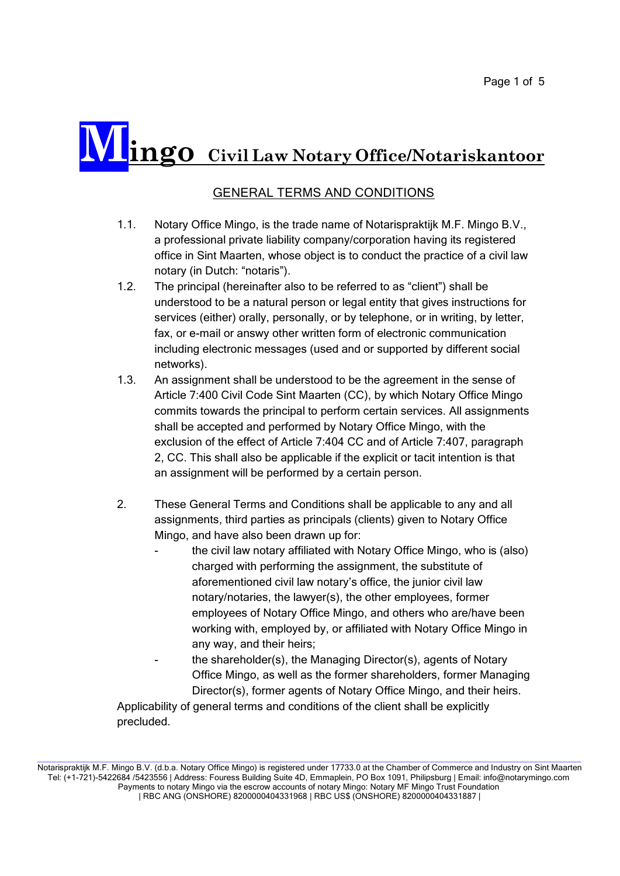## **Mingo Civil Law Notary Office/Notariskantoor**

## GENERAL TERMS AND CONDITIONS

- 1.1. Notary Office Mingo, is the trade name of Notarispraktijk M.F. Mingo B.V., a professional private liability company/corporation having its registered office in Sint Maarten, whose object is to conduct the practice of a civil law notary (in Dutch: "notaris").
- 1.2. The principal (hereinafter also to be referred to as "client") shall be understood to be a natural person or legal entity that gives instructions for services (either) orally, personally, or by telephone, or in writing, by letter, fax, or e-mail or answy other written form of electronic communication including electronic messages (used and or supported by different social networks).
- 1.3. An assignment shall be understood to be the agreement in the sense of Article 7:400 Civil Code Sint Maarten (CC), by which Notary Office Mingo commits towards the principal to perform certain services. All assignments shall be accepted and performed by Notary Office Mingo, with the exclusion of the effect of Article 7:404 CC and of Article 7:407, paragraph 2, CC. This shall also be applicable if the explicit or tacit intention is that an assignment will be performed by a certain person.
- 2. These General Terms and Conditions shall be applicable to any and all assignments, third parties as principals (clients) given to Notary Office Mingo, and have also been drawn up for:
	- the civil law notary affiliated with Notary Office Mingo, who is (also) charged with performing the assignment, the substitute of aforementioned civil law notary's office, the junior civil law notary/notaries, the lawyer(s), the other employees, former employees of Notary Office Mingo, and others who are/have been working with, employed by, or affiliated with Notary Office Mingo in any way, and their heirs;
	- the shareholder(s), the Managing Director(s), agents of Notary Office Mingo, as well as the former shareholders, former Managing Director(s), former agents of Notary Office Mingo, and their heirs.

Applicability of general terms and conditions of the client shall be explicitly precluded.

\_\_\_\_\_\_\_\_\_\_\_\_\_\_\_\_\_\_\_\_\_\_\_\_\_\_\_\_\_\_\_\_\_\_\_\_\_\_\_\_\_\_\_\_\_\_\_\_\_\_\_\_\_\_\_\_\_\_\_\_\_\_\_\_\_\_\_\_\_\_\_\_\_\_\_\_\_\_\_\_\_\_\_\_\_\_\_\_\_\_\_\_\_\_\_\_\_\_\_\_\_\_\_\_\_\_\_\_\_\_\_\_\_\_\_ Notarispraktijk M.F. Mingo B.V. (d.b.a. Notary Office Mingo) is registered under 17733.0 at the Chamber of Commerce and Industry on Sint Maarten Tel: (+1-721)-5422684 /5423556 | Address: Fouress Building Suite 4D, Emmaplein, PO Box 1091, Philipsburg | Email: info@notarymingo.com Payments to notary Mingo via the escrow accounts of notary Mingo: Notary MF Mingo Trust Foundation | RBC ANG (ONSHORE) 8200000404331968 | RBC US\$ (ONSHORE) 8200000404331887 |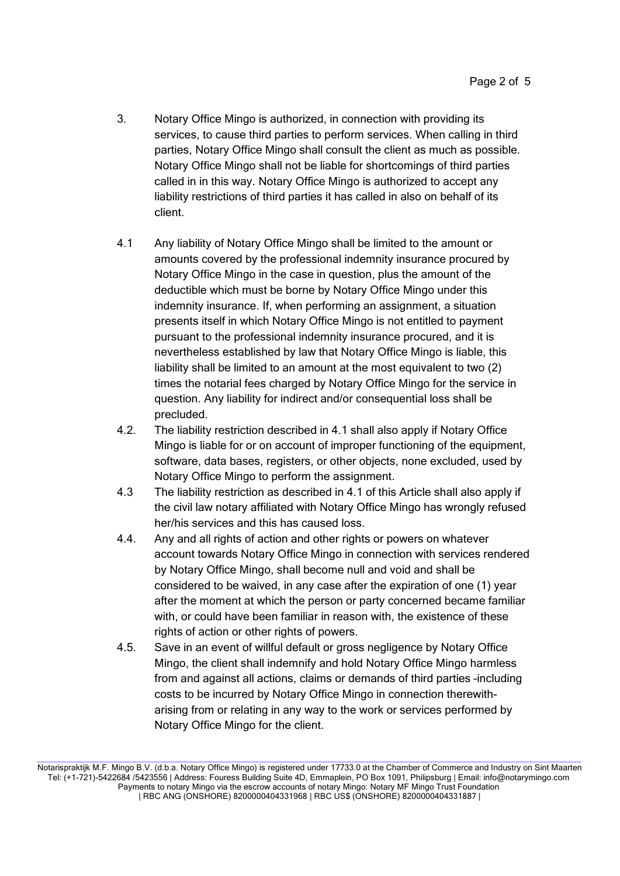- 3. Notary Office Mingo is authorized, in connection with providing its services, to cause third parties to perform services. When calling in third parties, Notary Office Mingo shall consult the client as much as possible. Notary Office Mingo shall not be liable for shortcomings of third parties called in in this way. Notary Office Mingo is authorized to accept any liability restrictions of third parties it has called in also on behalf of its client.
- 4.1 Any liability of Notary Office Mingo shall be limited to the amount or amounts covered by the professional indemnity insurance procured by Notary Office Mingo in the case in question, plus the amount of the deductible which must be borne by Notary Office Mingo under this indemnity insurance. If, when performing an assignment, a situation presents itself in which Notary Office Mingo is not entitled to payment pursuant to the professional indemnity insurance procured, and it is nevertheless established by law that Notary Office Mingo is liable, this liability shall be limited to an amount at the most equivalent to two (2) times the notarial fees charged by Notary Office Mingo for the service in question. Any liability for indirect and/or consequential loss shall be precluded.
- 4.2. The liability restriction described in 4.1 shall also apply if Notary Office Mingo is liable for or on account of improper functioning of the equipment, software, data bases, registers, or other objects, none excluded, used by Notary Office Mingo to perform the assignment.
- 4.3 The liability restriction as described in 4.1 of this Article shall also apply if the civil law notary affiliated with Notary Office Mingo has wrongly refused her/his services and this has caused loss.
- 4.4. Any and all rights of action and other rights or powers on whatever account towards Notary Office Mingo in connection with services rendered by Notary Office Mingo, shall become null and void and shall be considered to be waived, in any case after the expiration of one (1) year after the moment at which the person or party concerned became familiar with, or could have been familiar in reason with, the existence of these rights of action or other rights of powers.
- 4.5. Save in an event of willful default or gross negligence by Notary Office Mingo, the client shall indemnify and hold Notary Office Mingo harmless from and against all actions, claims or demands of third parties –including costs to be incurred by Notary Office Mingo in connection therewitharising from or relating in any way to the work or services performed by Notary Office Mingo for the client.

\_\_\_\_\_\_\_\_\_\_\_\_\_\_\_\_\_\_\_\_\_\_\_\_\_\_\_\_\_\_\_\_\_\_\_\_\_\_\_\_\_\_\_\_\_\_\_\_\_\_\_\_\_\_\_\_\_\_\_\_\_\_\_\_\_\_\_\_\_\_\_\_\_\_\_\_\_\_\_\_\_\_\_\_\_\_\_\_\_\_\_\_\_\_\_\_\_\_\_\_\_\_\_\_\_\_\_\_\_\_\_\_\_\_\_

Notarispraktijk M.F. Mingo B.V. (d.b.a. Notary Office Mingo) is registered under 17733.0 at the Chamber of Commerce and Industry on Sint Maarten Tel: (+1-721)-5422684 /5423556 | Address: Fouress Building Suite 4D, Emmaplein, PO Box 1091, Philipsburg | Email: info@notarymingo.com Payments to notary Mingo via the escrow accounts of notary Mingo: Notary MF Mingo Trust Foundation | RBC ANG (ONSHORE) 8200000404331968 | RBC US\$ (ONSHORE) 8200000404331887 |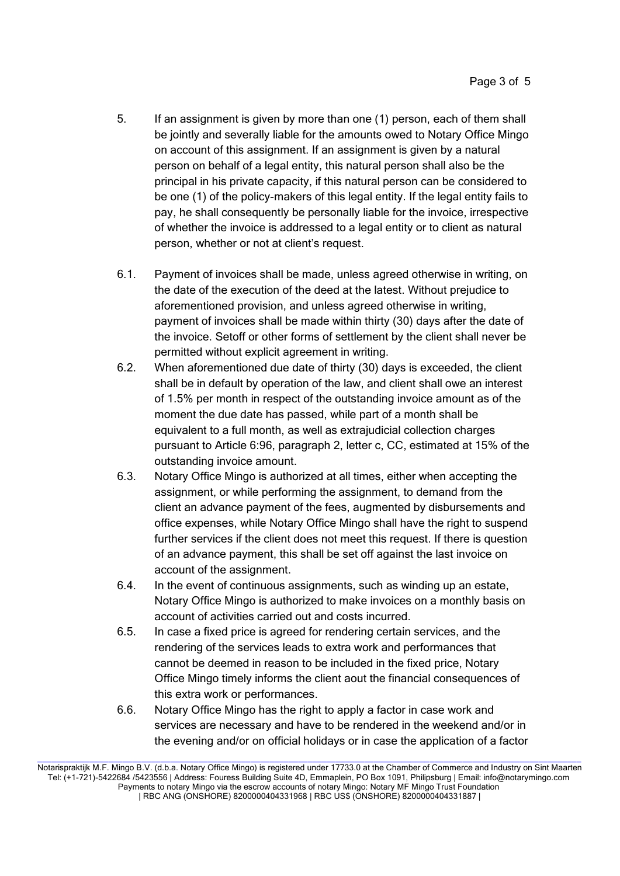- 5. If an assignment is given by more than one (1) person, each of them shall be jointly and severally liable for the amounts owed to Notary Office Mingo on account of this assignment. If an assignment is given by a natural person on behalf of a legal entity, this natural person shall also be the principal in his private capacity, if this natural person can be considered to be one (1) of the policy-makers of this legal entity. If the legal entity fails to pay, he shall consequently be personally liable for the invoice, irrespective of whether the invoice is addressed to a legal entity or to client as natural person, whether or not at client's request.
- 6.1. Payment of invoices shall be made, unless agreed otherwise in writing, on the date of the execution of the deed at the latest. Without prejudice to aforementioned provision, and unless agreed otherwise in writing, payment of invoices shall be made within thirty (30) days after the date of the invoice. Setoff or other forms of settlement by the client shall never be permitted without explicit agreement in writing.
- 6.2. When aforementioned due date of thirty (30) days is exceeded, the client shall be in default by operation of the law, and client shall owe an interest of 1.5% per month in respect of the outstanding invoice amount as of the moment the due date has passed, while part of a month shall be equivalent to a full month, as well as extrajudicial collection charges pursuant to Article 6:96, paragraph 2, letter c, CC, estimated at 15% of the outstanding invoice amount.
- 6.3. Notary Office Mingo is authorized at all times, either when accepting the assignment, or while performing the assignment, to demand from the client an advance payment of the fees, augmented by disbursements and office expenses, while Notary Office Mingo shall have the right to suspend further services if the client does not meet this request. If there is question of an advance payment, this shall be set off against the last invoice on account of the assignment.
- 6.4. In the event of continuous assignments, such as winding up an estate, Notary Office Mingo is authorized to make invoices on a monthly basis on account of activities carried out and costs incurred.
- 6.5. In case a fixed price is agreed for rendering certain services, and the rendering of the services leads to extra work and performances that cannot be deemed in reason to be included in the fixed price, Notary Office Mingo timely informs the client aout the financial consequences of this extra work or performances.
- 6.6. Notary Office Mingo has the right to apply a factor in case work and services are necessary and have to be rendered in the weekend and/or in the evening and/or on official holidays or in case the application of a factor

\_\_\_\_\_\_\_\_\_\_\_\_\_\_\_\_\_\_\_\_\_\_\_\_\_\_\_\_\_\_\_\_\_\_\_\_\_\_\_\_\_\_\_\_\_\_\_\_\_\_\_\_\_\_\_\_\_\_\_\_\_\_\_\_\_\_\_\_\_\_\_\_\_\_\_\_\_\_\_\_\_\_\_\_\_\_\_\_\_\_\_\_\_\_\_\_\_\_\_\_\_\_\_\_\_\_\_\_\_\_\_\_\_\_\_

Notarispraktijk M.F. Mingo B.V. (d.b.a. Notary Office Mingo) is registered under 17733.0 at the Chamber of Commerce and Industry on Sint Maarten Tel: (+1-721)-5422684 /5423556 | Address: Fouress Building Suite 4D, Emmaplein, PO Box 1091, Philipsburg | Email: info@notarymingo.com Payments to notary Mingo via the escrow accounts of notary Mingo: Notary MF Mingo Trust Foundation | RBC ANG (ONSHORE) 8200000404331968 | RBC US\$ (ONSHORE) 8200000404331887 |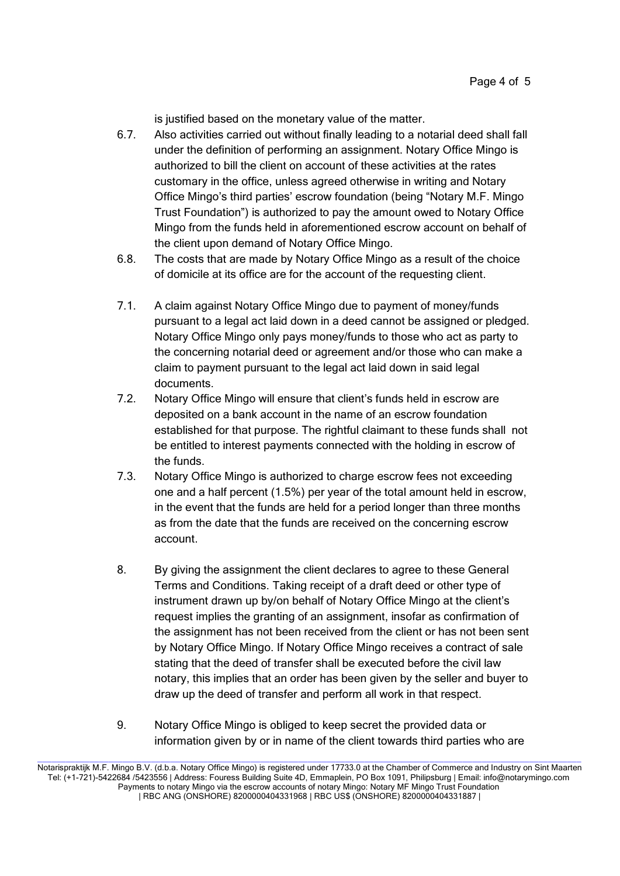is justified based on the monetary value of the matter.

- 6.7. Also activities carried out without finally leading to a notarial deed shall fall under the definition of performing an assignment. Notary Office Mingo is authorized to bill the client on account of these activities at the rates customary in the office, unless agreed otherwise in writing and Notary Office Mingo's third parties' escrow foundation (being "Notary M.F. Mingo Trust Foundation") is authorized to pay the amount owed to Notary Office Mingo from the funds held in aforementioned escrow account on behalf of the client upon demand of Notary Office Mingo.
- 6.8. The costs that are made by Notary Office Mingo as a result of the choice of domicile at its office are for the account of the requesting client.
- 7.1. A claim against Notary Office Mingo due to payment of money/funds pursuant to a legal act laid down in a deed cannot be assigned or pledged. Notary Office Mingo only pays money/funds to those who act as party to the concerning notarial deed or agreement and/or those who can make a claim to payment pursuant to the legal act laid down in said legal documents.
- 7.2. Notary Office Mingo will ensure that client's funds held in escrow are deposited on a bank account in the name of an escrow foundation established for that purpose. The rightful claimant to these funds shall not be entitled to interest payments connected with the holding in escrow of the funds.
- 7.3. Notary Office Mingo is authorized to charge escrow fees not exceeding one and a half percent (1.5%) per year of the total amount held in escrow, in the event that the funds are held for a period longer than three months as from the date that the funds are received on the concerning escrow account.
- 8. By giving the assignment the client declares to agree to these General Terms and Conditions. Taking receipt of a draft deed or other type of instrument drawn up by/on behalf of Notary Office Mingo at the client's request implies the granting of an assignment, insofar as confirmation of the assignment has not been received from the client or has not been sent by Notary Office Mingo. If Notary Office Mingo receives a contract of sale stating that the deed of transfer shall be executed before the civil law notary, this implies that an order has been given by the seller and buyer to draw up the deed of transfer and perform all work in that respect.
- 9. Notary Office Mingo is obliged to keep secret the provided data or information given by or in name of the client towards third parties who are

\_\_\_\_\_\_\_\_\_\_\_\_\_\_\_\_\_\_\_\_\_\_\_\_\_\_\_\_\_\_\_\_\_\_\_\_\_\_\_\_\_\_\_\_\_\_\_\_\_\_\_\_\_\_\_\_\_\_\_\_\_\_\_\_\_\_\_\_\_\_\_\_\_\_\_\_\_\_\_\_\_\_\_\_\_\_\_\_\_\_\_\_\_\_\_\_\_\_\_\_\_\_\_\_\_\_\_\_\_\_\_\_\_\_\_

Notarispraktijk M.F. Mingo B.V. (d.b.a. Notary Office Mingo) is registered under 17733.0 at the Chamber of Commerce and Industry on Sint Maarten Tel: (+1-721)-5422684 /5423556 | Address: Fouress Building Suite 4D, Emmaplein, PO Box 1091, Philipsburg | Email: info@notarymingo.com Payments to notary Mingo via the escrow accounts of notary Mingo: Notary MF Mingo Trust Foundation | RBC ANG (ONSHORE) 8200000404331968 | RBC US\$ (ONSHORE) 8200000404331887 |